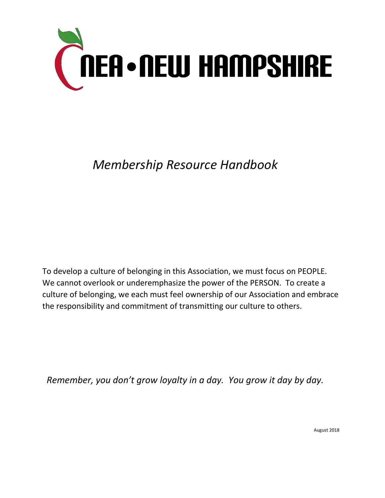

## *Membership Resource Handbook*

To develop a culture of belonging in this Association, we must focus on PEOPLE. We cannot overlook or underemphasize the power of the PERSON. To create a culture of belonging, we each must feel ownership of our Association and embrace the responsibility and commitment of transmitting our culture to others.

*Remember, you don't grow loyalty in a day. You grow it day by day.*

August 2018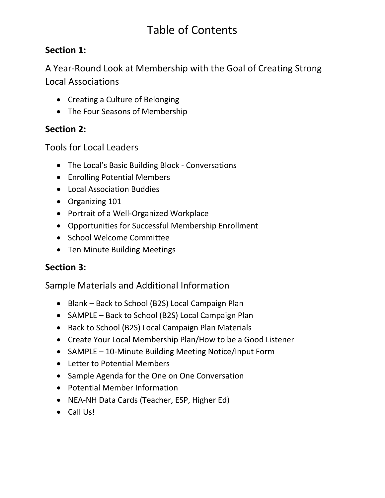## Table of Contents

### **Section 1:**

A Year-Round Look at Membership with the Goal of Creating Strong Local Associations

- Creating a Culture of Belonging
- The Four Seasons of Membership

### **Section 2:**

Tools for Local Leaders

- The Local's Basic Building Block Conversations
- Enrolling Potential Members
- Local Association Buddies
- Organizing 101
- Portrait of a Well-Organized Workplace
- Opportunities for Successful Membership Enrollment
- School Welcome Committee
- Ten Minute Building Meetings

### **Section 3:**

Sample Materials and Additional Information

- Blank Back to School (B2S) Local Campaign Plan
- SAMPLE Back to School (B2S) Local Campaign Plan
- Back to School (B2S) Local Campaign Plan Materials
- Create Your Local Membership Plan/How to be a Good Listener
- SAMPLE 10-Minute Building Meeting Notice/Input Form
- Letter to Potential Members
- Sample Agenda for the One on One Conversation
- Potential Member Information
- NEA-NH Data Cards (Teacher, ESP, Higher Ed)
- Call Us!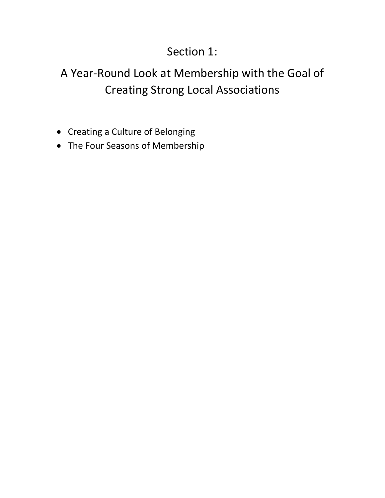## Section 1:

## A Year-Round Look at Membership with the Goal of Creating Strong Local Associations

- Creating a Culture of Belonging
- The Four Seasons of Membership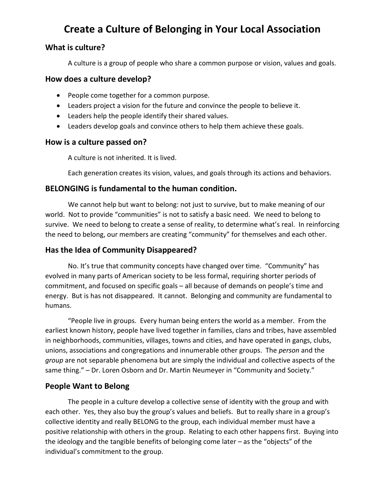### **Create a Culture of Belonging in Your Local Association**

#### **What is culture?**

A culture is a group of people who share a common purpose or vision, values and goals.

#### **How does a culture develop?**

- People come together for a common purpose.
- Leaders project a vision for the future and convince the people to believe it.
- Leaders help the people identify their shared values.
- Leaders develop goals and convince others to help them achieve these goals.

#### **How is a culture passed on?**

A culture is not inherited. It is lived.

Each generation creates its vision, values, and goals through its actions and behaviors.

#### **BELONGING is fundamental to the human condition.**

We cannot help but want to belong: not just to survive, but to make meaning of our world. Not to provide "communities" is not to satisfy a basic need. We need to belong to survive. We need to belong to create a sense of reality, to determine what's real. In reinforcing the need to belong, our members are creating "community" for themselves and each other.

#### **Has the Idea of Community Disappeared?**

No. It's true that community concepts have changed over time. "Community" has evolved in many parts of American society to be less formal, requiring shorter periods of commitment, and focused on specific goals – all because of demands on people's time and energy. But is has not disappeared. It cannot. Belonging and community are fundamental to humans.

"People live in groups. Every human being enters the world as a member. From the earliest known history, people have lived together in families, clans and tribes, have assembled in neighborhoods, communities, villages, towns and cities, and have operated in gangs, clubs, unions, associations and congregations and innumerable other groups. The *person* and the *group* are not separable phenomena but are simply the individual and collective aspects of the same thing." – Dr. Loren Osborn and Dr. Martin Neumeyer in "Community and Society."

#### **People Want to Belong**

The people in a culture develop a collective sense of identity with the group and with each other. Yes, they also buy the group's values and beliefs. But to really share in a group's collective identity and really BELONG to the group, each individual member must have a positive relationship with others in the group. Relating to each other happens first. Buying into the ideology and the tangible benefits of belonging come later – as the "objects" of the individual's commitment to the group.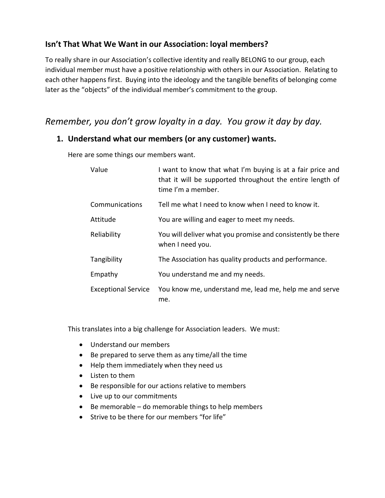#### **Isn't That What We Want in our Association: loyal members?**

To really share in our Association's collective identity and really BELONG to our group, each individual member must have a positive relationship with others in our Association. Relating to each other happens first. Buying into the ideology and the tangible benefits of belonging come later as the "objects" of the individual member's commitment to the group.

### *Remember, you don't grow loyalty in a day. You grow it day by day.*

#### **1. Understand what our members (or any customer) wants.**

Here are some things our members want.

| Value                      | I want to know that what I'm buying is at a fair price and<br>that it will be supported throughout the entire length of<br>time I'm a member. |
|----------------------------|-----------------------------------------------------------------------------------------------------------------------------------------------|
| Communications             | Tell me what I need to know when I need to know it.                                                                                           |
| Attitude                   | You are willing and eager to meet my needs.                                                                                                   |
| Reliability                | You will deliver what you promise and consistently be there<br>when I need you.                                                               |
| Tangibility                | The Association has quality products and performance.                                                                                         |
| Empathy                    | You understand me and my needs.                                                                                                               |
| <b>Exceptional Service</b> | You know me, understand me, lead me, help me and serve<br>me.                                                                                 |

This translates into a big challenge for Association leaders. We must:

- Understand our members
- Be prepared to serve them as any time/all the time
- Help them immediately when they need us
- Listen to them
- Be responsible for our actions relative to members
- Live up to our commitments
- Be memorable do memorable things to help members
- Strive to be there for our members "for life"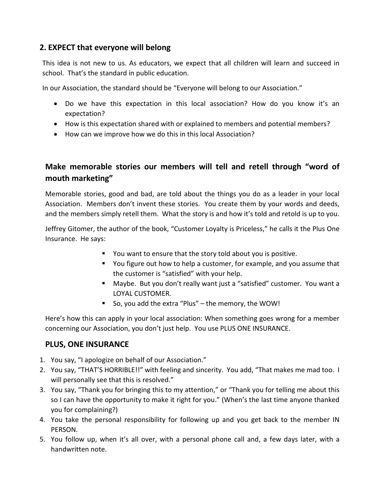#### **2. EXPECT that everyone will belong**

This idea is not new to us. As educators, we expect that all children will learn and succeed in school. That's the standard in public education.

In our Association, the standard should be "Everyone will belong to our Association."

- Do we have this expectation in this local association? How do you know it's an expectation?
- How is this expectation shared with or explained to members and potential members?
- How can we improve how we do this in this local Association?

#### **Make memorable stories our members will tell and retell through "word of mouth marketing"**

Memorable stories, good and bad, are told about the things you do as a leader in your local Association. Members don't invent these stories. You create them by your words and deeds, and the members simply retell them. What the story is and how it's told and retold is up to you.

Jeffrey Gitomer, the author of the book, "Customer Loyalty is Priceless," he calls it the Plus One Insurance. He says:

- You want to ensure that the story told about you is positive.
- You figure out how to help a customer, for example, and you assume that the customer is "satisfied" with your help.
- Maybe. But you don't really want just a "satisfied" customer. You want a LOYAL CUSTOMER.
- So, you add the extra "Plus" the memory, the WOW!

Here's how this can apply in your local association: When something goes wrong for a member concerning our Association, you don't just help. You use PLUS ONE INSURANCE.

#### **PLUS, ONE INSURANCE**

- 1. You say, "I apologize on behalf of our Association."
- 2. You say, "THAT'S HORRIBLE!!" with feeling and sincerity. You add, "That makes me mad too. I will personally see that this is resolved."
- 3. You say, "Thank you for bringing this to my attention," or "Thank you for telling me about this so I can have the opportunity to make it right for you." (When's the last time anyone thanked you for complaining?)
- 4. You take the personal responsibility for following up and you get back to the member IN PERSON.
- 5. You follow up, when it's all over, with a personal phone call and, a few days later, with a handwritten note.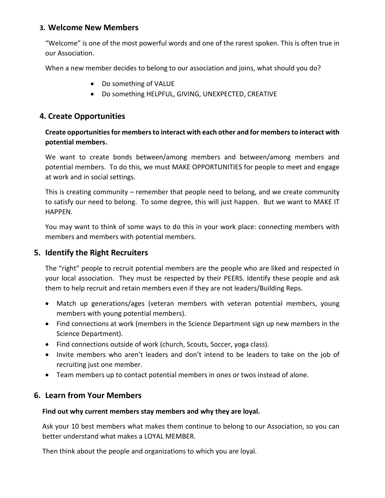#### **3. Welcome New Members**

"Welcome" is one of the most powerful words and one of the rarest spoken. This is often true in our Association.

When a new member decides to belong to our association and joins, what should you do?

- Do something of VALUE
- Do something HELPFUL, GIVING, UNEXPECTED, CREATIVE

#### **4. Create Opportunities**

#### **Create opportunities for members to interact with each other and for members to interact with potential members.**

We want to create bonds between/among members and between/among members and potential members. To do this, we must MAKE OPPORTUNITIES for people to meet and engage at work and in social settings.

This is creating community – remember that people need to belong, and we create community to satisfy our need to belong. To some degree, this will just happen. But we want to MAKE IT HAPPEN.

You may want to think of some ways to do this in your work place: connecting members with members and members with potential members.

#### **5. Identify the Right Recruiters**

The "right" people to recruit potential members are the people who are liked and respected in your local association. They must be respected by their PEERS. Identify these people and ask them to help recruit and retain members even if they are not leaders/Building Reps.

- Match up generations/ages (veteran members with veteran potential members, young members with young potential members).
- Find connections at work (members in the Science Department sign up new members in the Science Department).
- Find connections outside of work (church, Scouts, Soccer, yoga class).
- Invite members who aren't leaders and don't intend to be leaders to take on the job of recruiting just one member.
- Team members up to contact potential members in ones or twos instead of alone.

#### **6. Learn from Your Members**

#### **Find out why current members stay members and why they are loyal.**

Ask your 10 best members what makes them continue to belong to our Association, so you can better understand what makes a LOYAL MEMBER.

Then think about the people and organizations to which you are loyal.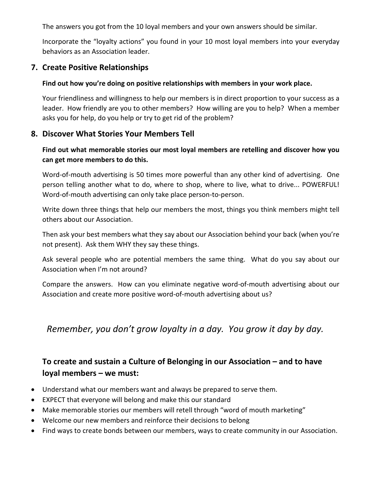The answers you got from the 10 loyal members and your own answers should be similar.

Incorporate the "loyalty actions" you found in your 10 most loyal members into your everyday behaviors as an Association leader.

#### **7. Create Positive Relationships**

#### **Find out how you're doing on positive relationships with members in your work place.**

Your friendliness and willingness to help our members is in direct proportion to your success as a leader. How friendly are you to other members? How willing are you to help? When a member asks you for help, do you help or try to get rid of the problem?

#### **8. Discover What Stories Your Members Tell**

#### **Find out what memorable stories our most loyal members are retelling and discover how you can get more members to do this.**

Word-of-mouth advertising is 50 times more powerful than any other kind of advertising. One person telling another what to do, where to shop, where to live, what to drive... POWERFUL! Word-of-mouth advertising can only take place person-to-person.

Write down three things that help our members the most, things you think members might tell others about our Association.

Then ask your best members what they say about our Association behind your back (when you're not present). Ask them WHY they say these things.

Ask several people who are potential members the same thing. What do you say about our Association when I'm not around?

Compare the answers. How can you eliminate negative word-of-mouth advertising about our Association and create more positive word-of-mouth advertising about us?

*Remember, you don't grow loyalty in a day. You grow it day by day.*

#### **To create and sustain a Culture of Belonging in our Association – and to have loyal members – we must:**

- Understand what our members want and always be prepared to serve them.
- EXPECT that everyone will belong and make this our standard
- Make memorable stories our members will retell through "word of mouth marketing"
- Welcome our new members and reinforce their decisions to belong
- Find ways to create bonds between our members, ways to create community in our Association.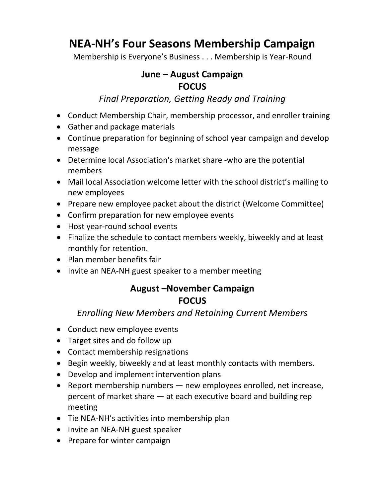## **NEA-NH's Four Seasons Membership Campaign**

Membership is Everyone's Business . . . Membership is Year-Round

### **June – August Campaign FOCUS**

### *Final Preparation, Getting Ready and Training*

- Conduct Membership Chair, membership processor, and enroller training
- Gather and package materials
- Continue preparation for beginning of school year campaign and develop message
- Determine local Association's market share -who are the potential members
- Mail local Association welcome letter with the school district's mailing to new employees
- Prepare new employee packet about the district (Welcome Committee)
- Confirm preparation for new employee events
- Host year-round school events
- Finalize the schedule to contact members weekly, biweekly and at least monthly for retention.
- Plan member benefits fair
- Invite an NEA-NH guest speaker to a member meeting

### **August –November Campaign FOCUS**

### *Enrolling New Members and Retaining Current Members*

- Conduct new employee events
- Target sites and do follow up
- Contact membership resignations
- Begin weekly, biweekly and at least monthly contacts with members.
- Develop and implement intervention plans
- Report membership numbers new employees enrolled, net increase, percent of market share — at each executive board and building rep meeting
- Tie NEA-NH's activities into membership plan
- Invite an NEA-NH guest speaker
- Prepare for winter campaign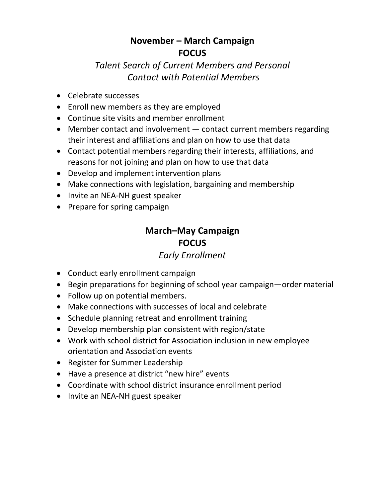### **November – March Campaign FOCUS**

### *Talent Search of Current Members and Personal Contact with Potential Members*

- Celebrate successes
- Enroll new members as they are employed
- Continue site visits and member enrollment
- Member contact and involvement contact current members regarding their interest and affiliations and plan on how to use that data
- Contact potential members regarding their interests, affiliations, and reasons for not joining and plan on how to use that data
- Develop and implement intervention plans
- Make connections with legislation, bargaining and membership
- Invite an NEA-NH guest speaker
- Prepare for spring campaign

### **March–May Campaign FOCUS**

### *Early Enrollment*

- Conduct early enrollment campaign
- Begin preparations for beginning of school year campaign—order material
- Follow up on potential members.
- Make connections with successes of local and celebrate
- Schedule planning retreat and enrollment training
- Develop membership plan consistent with region/state
- Work with school district for Association inclusion in new employee orientation and Association events
- Register for Summer Leadership
- Have a presence at district "new hire" events
- Coordinate with school district insurance enrollment period
- Invite an NEA-NH guest speaker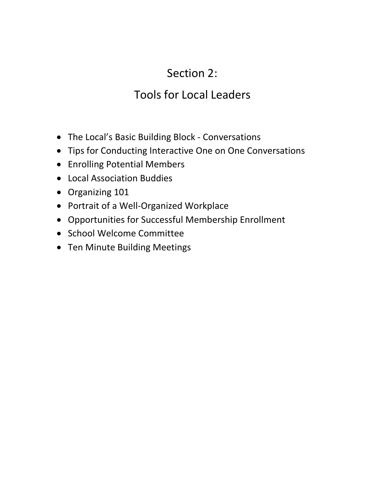## Section 2:

## Tools for Local Leaders

- The Local's Basic Building Block Conversations
- Tips for Conducting Interactive One on One Conversations
- Enrolling Potential Members
- Local Association Buddies
- Organizing 101
- Portrait of a Well-Organized Workplace
- Opportunities for Successful Membership Enrollment
- School Welcome Committee
- Ten Minute Building Meetings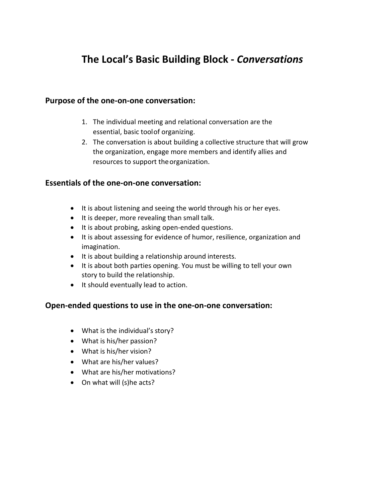### **The Local's Basic Building Block -** *Conversations*

#### **Purpose of the one-on-one conversation:**

- 1. The individual meeting and relational conversation are the essential, basic toolof organizing.
- 2. The conversation is about building a collective structure that will grow the organization, engage more members and identify allies and resources to support the organization.

#### **Essentials of the one-on-one conversation:**

- It is about listening and seeing the world through his or her eyes.
- It is deeper, more revealing than small talk.
- It is about probing, asking open-ended questions.
- It is about assessing for evidence of humor, resilience, organization and imagination.
- It is about building a relationship around interests.
- It is about both parties opening. You must be willing to tell your own story to build the relationship.
- It should eventually lead to action.

#### **Open-ended questions to use in the one-on-one conversation:**

- What is the individual's story?
- What is his/her passion?
- What is his/her vision?
- What are his/her values?
- What are his/her motivations?
- On what will (s)he acts?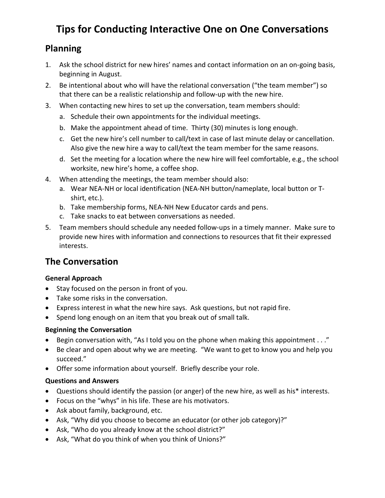### **Tips for Conducting Interactive One on One Conversations**

### **Planning**

- 1. Ask the school district for new hires' names and contact information on an on-going basis, beginning in August.
- 2. Be intentional about who will have the relational conversation ("the team member") so that there can be a realistic relationship and follow-up with the new hire.
- 3. When contacting new hires to set up the conversation, team members should:
	- a. Schedule their own appointments for the individual meetings.
	- b. Make the appointment ahead of time. Thirty (30) minutes is long enough.
	- c. Get the new hire's cell number to call/text in case of last minute delay or cancellation. Also give the new hire a way to call/text the team member for the same reasons.
	- d. Set the meeting for a location where the new hire will feel comfortable, e.g., the school worksite, new hire's home, a coffee shop.
- 4. When attending the meetings, the team member should also:
	- a. Wear NEA-NH or local identification (NEA-NH button/nameplate, local button or Tshirt, etc.).
	- b. Take membership forms, NEA-NH New Educator cards and pens.
	- c. Take snacks to eat between conversations as needed.
- 5. Team members should schedule any needed follow-ups in a timely manner. Make sure to provide new hires with information and connections to resources that fit their expressed interests.

### **The Conversation**

#### **General Approach**

- Stay focused on the person in front of you.
- Take some risks in the conversation.
- Express interest in what the new hire says. Ask questions, but not rapid fire.
- Spend long enough on an item that you break out of small talk.

#### **Beginning the Conversation**

- Begin conversation with, "As I told you on the phone when making this appointment . . ."
- Be clear and open about why we are meeting. "We want to get to know you and help you succeed."
- Offer some information about yourself. Briefly describe your role.

#### **Questions and Answers**

- Questions should identify the passion (or anger) of the new hire, as well as his\* interests.
- Focus on the "whys" in his life. These are his motivators.
- Ask about family, background, etc.
- Ask, "Why did you choose to become an educator (or other job category)?"
- Ask, "Who do you already know at the school district?"
- Ask, "What do you think of when you think of Unions?"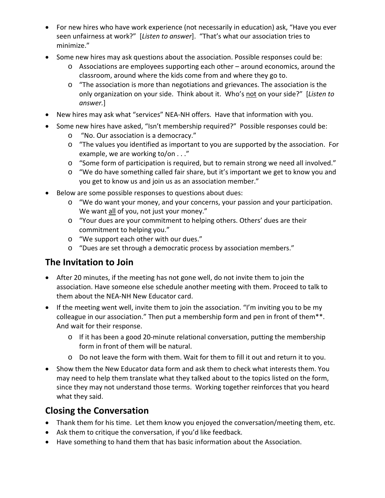- For new hires who have work experience (not necessarily in education) ask, "Have you ever seen unfairness at work?" [*Listen to answer*]. "That's what our association tries to minimize."
- Some new hires may ask questions about the association. Possible responses could be:
	- $\circ$  Associations are employees supporting each other around economics, around the classroom, around where the kids come from and where they go to.
	- $\circ$  "The association is more than negotiations and grievances. The association is the only organization on your side. Think about it. Who's not on your side?" [*Listen to answer.*]
- New hires may ask what "services" NEA-NH offers. Have that information with you.
- Some new hires have asked, "Isn't membership required?" Possible responses could be:
	- o "No. Our association is a democracy."
	- o "The values you identified as important to you are supported by the association. For example, we are working to/on . . ."
	- o "Some form of participation is required, but to remain strong we need all involved."
	- o "We do have something called fair share, but it's important we get to know you and you get to know us and join us as an association member."
- Below are some possible responses to questions about dues:
	- $\circ$  "We do want your money, and your concerns, your passion and your participation. We want all of you, not just your money."
	- o "Your dues are your commitment to helping others. Others' dues are their commitment to helping you."
	- o "We support each other with our dues."
	- o "Dues are set through a democratic process by association members."

### **The Invitation to Join**

- After 20 minutes, if the meeting has not gone well, do not invite them to join the association. Have someone else schedule another meeting with them. Proceed to talk to them about the NEA-NH New Educator card.
- If the meeting went well, invite them to join the association. "I'm inviting you to be my colleague in our association." Then put a membership form and pen in front of them\*\*. And wait for their response.
	- o If it has been a good 20-minute relational conversation, putting the membership form in front of them will be natural.
	- o Do not leave the form with them. Wait for them to fill it out and return it to you.
- Show them the New Educator data form and ask them to check what interests them. You may need to help them translate what they talked about to the topics listed on the form, since they may not understand those terms. Working together reinforces that you heard what they said.

### **Closing the Conversation**

- Thank them for his time. Let them know you enjoyed the conversation/meeting them, etc.
- Ask them to critique the conversation, if you'd like feedback.
- Have something to hand them that has basic information about the Association.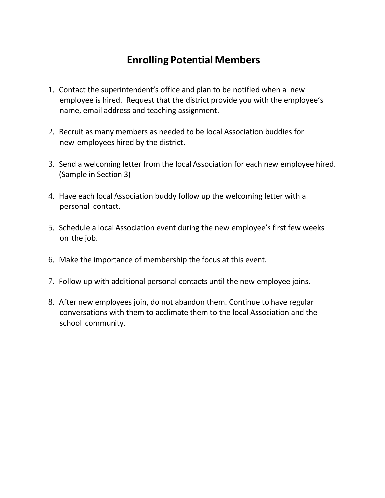### **Enrolling Potential Members**

- 1. Contact the superintendent's office and plan to be notified when a new employee is hired. Request that the district provide you with the employee's name, email address and teaching assignment.
- 2. Recruit as many members as needed to be local Association buddies for new employees hired by the district.
- 3. Send a welcoming letter from the local Association for each new employee hired. (Sample in Section 3)
- 4. Have each local Association buddy follow up the welcoming letter with a personal contact.
- 5. Schedule a local Association event during the new employee's first few weeks on the job.
- 6. Make the importance of membership the focus at this event.
- 7. Follow up with additional personal contacts until the new employee joins.
- 8. After new employees join, do not abandon them. Continue to have regular conversations with them to acclimate them to the local Association and the school community.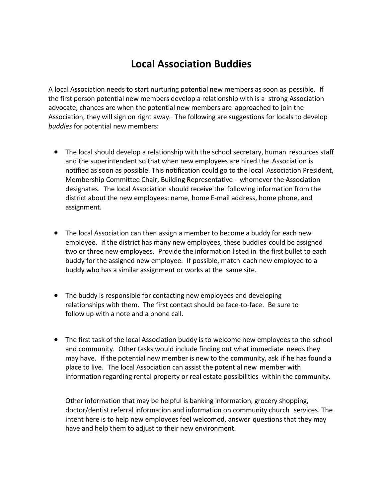### **Local Association Buddies**

A local Association needs to start nurturing potential new members as soon as possible. If the first person potential new members develop a relationship with is a strong Association advocate, chances are when the potential new members are approached to join the Association, they will sign on right away. The following are suggestions for locals to develop *buddies* for potential new members:

- The local should develop a relationship with the school secretary, human resources staff and the superintendent so that when new employees are hired the Association is notified as soon as possible. This notification could go to the local Association President, Membership Committee Chair, Building Representative - whomever the Association designates. The local Association should receive the following information from the district about the new employees: name, home E-mail address, home phone, and assignment.
- The local Association can then assign a member to become a buddy for each new employee. If the district has many new employees, these buddies could be assigned two or three new employees. Provide the information listed in the first bullet to each buddy for the assigned new employee. If possible, match each new employee to a buddy who has a similar assignment or works at the same site.
- The buddy is responsible for contacting new employees and developing relationships with them. The first contact should be face-to-face. Be sure to follow up with a note and a phone call.
- The first task of the local Association buddy is to welcome new employees to the school and community. Other tasks would include finding out what immediate needs they may have. If the potential new member is new to the community, ask if he has found a place to live. The local Association can assist the potential new member with information regarding rental property or real estate possibilities within the community.

Other information that may be helpful is banking information, grocery shopping, doctor/dentist referral information and information on community church services. The intent here is to help new employees feel welcomed, answer questions that they may have and help them to adjust to their new environment.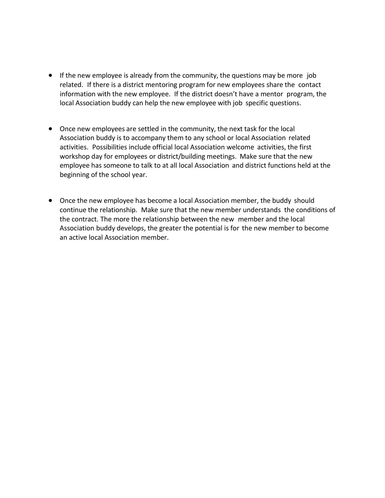- If the new employee is already from the community, the questions may be more job related. If there is a district mentoring program for new employees share the contact information with the new employee. If the district doesn't have a mentor program, the local Association buddy can help the new employee with job specific questions.
- Once new employees are settled in the community, the next task for the local Association buddy is to accompany them to any school or local Association related activities. Possibilities include official local Association welcome activities, the first workshop day for employees or district/building meetings. Make sure that the new employee has someone to talk to at all local Association and district functions held at the beginning of the school year.
- Once the new employee has become a local Association member, the buddy should continue the relationship. Make sure that the new member understands the conditions of the contract. The more the relationship between the new member and the local Association buddy develops, the greater the potential is for the new member to become an active local Association member.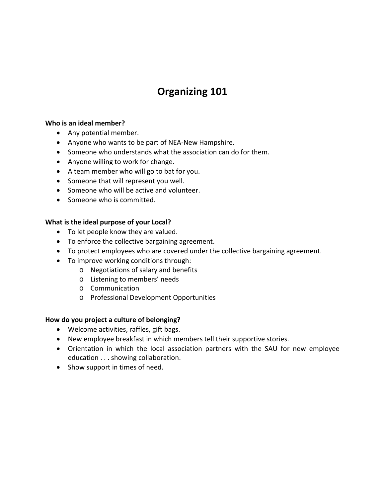### **Organizing 101**

#### **Who is an ideal member?**

- Any potential member.
- Anyone who wants to be part of NEA-New Hampshire.
- Someone who understands what the association can do for them.
- Anyone willing to work for change.
- A team member who will go to bat for you.
- Someone that will represent you well.
- Someone who will be active and volunteer.
- Someone who is committed.

#### **What is the ideal purpose of your Local?**

- To let people know they are valued.
- To enforce the collective bargaining agreement.
- To protect employees who are covered under the collective bargaining agreement.
- To improve working conditions through:
	- o Negotiations of salary and benefits
	- o Listening to members' needs
	- o Communication
	- o Professional Development Opportunities

#### **How do you project a culture of belonging?**

- Welcome activities, raffles, gift bags.
- New employee breakfast in which members tell their supportive stories.
- Orientation in which the local association partners with the SAU for new employee education . . . showing collaboration.
- Show support in times of need.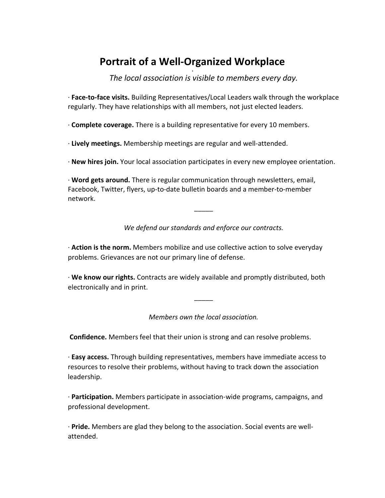#### **Portrait of a Well-Organized Workplace** •

*The local association is visible to members every day.*

· **Face-to-face visits.** Building Representatives/Local Leaders walk through the workplace regularly. They have relationships with all members, not just elected leaders.

· **Complete coverage.** There is a building representative for every 10 members.

· **Lively meetings.** Membership meetings are regular and well-attended.

· **New hires join.** Your local association participates in every new employee orientation.

· **Word gets around.** There is regular communication through newsletters, email, Facebook, Twitter, flyers, up-to-date bulletin boards and a member-to-member network.

*We defend our standards and enforce our contracts.*

\_\_\_\_\_

· **Action is the norm.** Members mobilize and use collective action to solve everyday problems. Grievances are not our primary line of defense.

· **We know our rights.** Contracts are widely available and promptly distributed, both electronically and in print.

*Members own the local association.*

\_\_\_\_\_

**Confidence.** Members feel that their union is strong and can resolve problems.

· **Easy access.** Through building representatives, members have immediate access to resources to resolve their problems, without having to track down the association leadership.

· **Participation.** Members participate in association-wide programs, campaigns, and professional development.

· **Pride.** Members are glad they belong to the association. Social events are wellattended.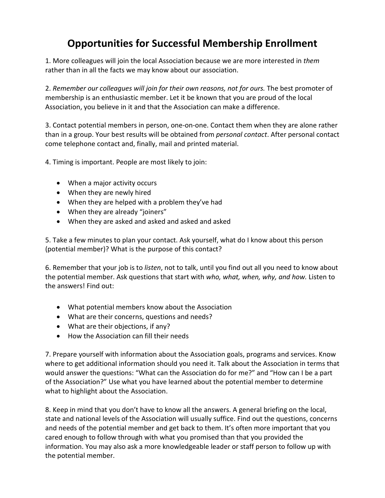### **Opportunities for Successful Membership Enrollment**

1. More colleagues will join the local Association because we are more interested in *them*  rather than in all the facts we may know about our association.

2. *Remember our colleagues will join for their own reasons, not for ours.* The best promoter of membership is an enthusiastic member. Let it be known that you are proud of the local Association, you believe in it and that the Association can make a difference.

3. Contact potential members in person, one-on-one. Contact them when they are alone rather than in a group. Your best results will be obtained from *personal contact*. After personal contact come telephone contact and, finally, mail and printed material.

4. Timing is important. People are most likely to join:

- When a major activity occurs
- When they are newly hired
- When they are helped with a problem they've had
- When they are already "joiners"
- When they are asked and asked and asked and asked

5. Take a few minutes to plan your contact. Ask yourself, what do I know about this person (potential member)? What is the purpose of this contact?

6. Remember that your job is to *listen*, not to talk, until you find out all you need to know about the potential member. Ask questions that start with *who, what, when, why, and how.* Listen to the answers! Find out:

- What potential members know about the Association
- What are their concerns, questions and needs?
- What are their objections, if any?
- How the Association can fill their needs

7. Prepare yourself with information about the Association goals, programs and services. Know where to get additional information should you need it. Talk about the Association in terms that would answer the questions: "What can the Association do for me?" and "How can I be a part of the Association?" Use what you have learned about the potential member to determine what to highlight about the Association.

8. Keep in mind that you don't have to know all the answers. A general briefing on the local, state and national levels of the Association will usually suffice. Find out the questions, concerns and needs of the potential member and get back to them. It's often more important that you cared enough to follow through with what you promised than that you provided the information. You may also ask a more knowledgeable leader or staff person to follow up with the potential member.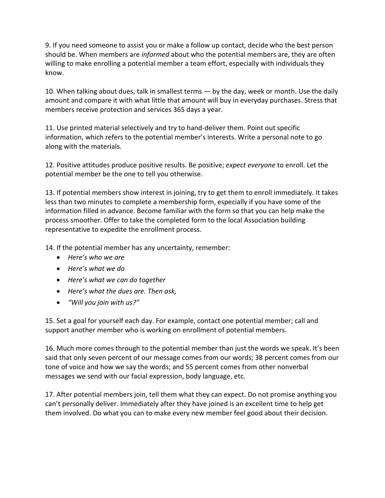9. If you need someone to assist you or make a follow up contact, decide who the best person should be. When members are *informed* about who the potential members are, they are often willing to make enrolling a potential member a team effort, especially with individuals they know.

10. When talking about dues, talk in smallest terms — by the day, week or month. Use the daily amount and compare it with what little that amount will buy in everyday purchases. Stress that members receive protection and services 365 days a year.

11. Use printed material selectively and try to hand-deliver them. Point out specific information, which refers to the potential member's interests. Write a personal note to go along with the materials.

12. Positive attitudes produce positive results. Be positive; *expect everyone* to enroll. Let the potential member be the one to tell you otherwise.

13. If potential members show interest in joining, try to get them to enroll immediately. It takes less than two minutes to complete a membership form, especially if you have some of the information filled in advance. Become familiar with the form so that you can help make the process smoother. Offer to take the completed form to the local Association building representative to expedite the enrollment process.

14. If the potential member has any uncertainty, remember:

- *Here's who we are*
- *Here's what we do*
- *Here's what we can do together*
- *Here's what the dues are. Then ask,*
- *"Will you join with us?"*

15. Set a goal for yourself each day. For example, contact one potential member; call and support another member who is working on enrollment of potential members.

16. Much more comes through to the potential member than just the words we speak. It's been said that only seven percent of our message comes from our words; 38 percent comes from our tone of voice and how we say the words; and 55 percent comes from other nonverbal messages we send with our facial expression, body language, etc.

17. After potential members join, tell them what they can expect. Do not promise anything you can't personally deliver. Immediately after they have joined is an excellent time to help get them involved. Do what you can to make every new member feel good about their decision.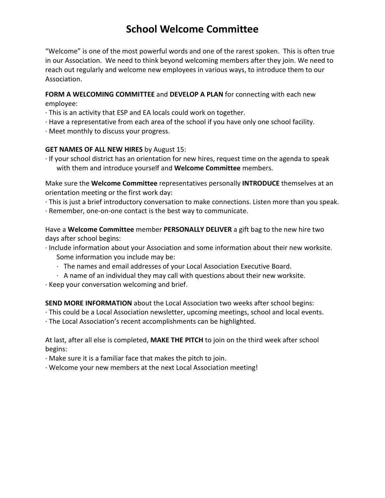### **School Welcome Committee**

"Welcome" is one of the most powerful words and one of the rarest spoken. This is often true in our Association. We need to think beyond welcoming members after they join. We need to reach out regularly and welcome new employees in various ways, to introduce them to our Association.

#### **FORM A WELCOMING COMMITTEE** and **DEVELOP A PLAN** for connecting with each new employee:

- · This is an activity that ESP and EA locals could work on together.
- · Have a representative from each area of the school if you have only one school facility.
- · Meet monthly to discuss your progress.

#### **GET NAMES OF ALL NEW HIRES** by August 15:

· If your school district has an orientation for new hires, request time on the agenda to speak with them and introduce yourself and **Welcome Committee** members.

Make sure the **Welcome Committee** representatives personally **INTRODUCE** themselves at an orientation meeting or the first work day:

- · This is just a brief introductory conversation to make connections. Listen more than you speak.
- · Remember, one-on-one contact is the best way to communicate.

Have a **Welcome Committee** member **PERSONALLY DELIVER** a gift bag to the new hire two days after school begins:

- · Include information about your Association and some information about their new worksite. Some information you include may be:
	- · The names and email addresses of your Local Association Executive Board.
	- $\cdot$  A name of an individual they may call with questions about their new worksite.
- · Keep your conversation welcoming and brief.

**SEND MORE INFORMATION** about the Local Association two weeks after school begins:

- · This could be a Local Association newsletter, upcoming meetings, school and local events.
- · The Local Association's recent accomplishments can be highlighted.

At last, after all else is completed, **MAKE THE PITCH** to join on the third week after school begins:

· Make sure it is a familiar face that makes the pitch to join.

· Welcome your new members at the next Local Association meeting!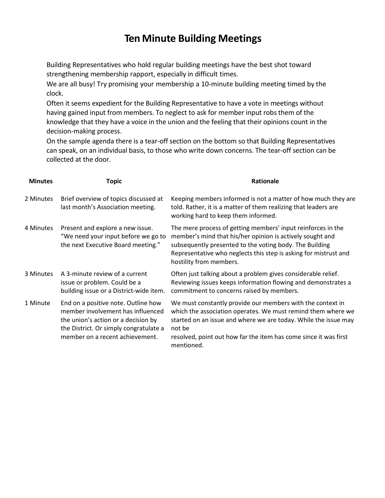### **Ten Minute Building Meetings**

Building Representatives who hold regular building meetings have the best shot toward strengthening membership rapport, especially in difficult times.

We are all busy! Try promising your membership a 10-minute building meeting timed by the clock.

Often it seems expedient for the Building Representative to have a vote in meetings without having gained input from members. To neglect to ask for member input robs them of the knowledge that they have a voice in the union and the feeling that their opinions count in the decision-making process.

On the sample agenda there is a tear-off section on the bottom so that Building Representatives can speak, on an individual basis, to those who write down concerns. The tear-off section can be collected at the door.

| <b>Minutes</b> | Topic                                                                                                                                                                                        | <b>Rationale</b>                                                                                                                                                                                                                                                                          |
|----------------|----------------------------------------------------------------------------------------------------------------------------------------------------------------------------------------------|-------------------------------------------------------------------------------------------------------------------------------------------------------------------------------------------------------------------------------------------------------------------------------------------|
| 2 Minutes      | Brief overview of topics discussed at<br>last month's Association meeting.                                                                                                                   | Keeping members informed is not a matter of how much they are<br>told. Rather, it is a matter of them realizing that leaders are<br>working hard to keep them informed.                                                                                                                   |
| 4 Minutes      | Present and explore a new issue.<br>"We need your input before we go to<br>the next Executive Board meeting."                                                                                | The mere process of getting members' input reinforces in the<br>member's mind that his/her opinion is actively sought and<br>subsequently presented to the voting body. The Building<br>Representative who neglects this step is asking for mistrust and<br>hostility from members.       |
| 3 Minutes      | A 3-minute review of a current<br>issue or problem. Could be a<br>building issue or a District-wide item.                                                                                    | Often just talking about a problem gives considerable relief.<br>Reviewing issues keeps information flowing and demonstrates a<br>commitment to concerns raised by members.                                                                                                               |
| 1 Minute       | End on a positive note. Outline how<br>member involvement has influenced<br>the union's action or a decision by<br>the District. Or simply congratulate a<br>member on a recent achievement. | We must constantly provide our members with the context in<br>which the association operates. We must remind them where we<br>started on an issue and where we are today. While the issue may<br>not be<br>resolved, point out how far the item has come since it was first<br>mentioned. |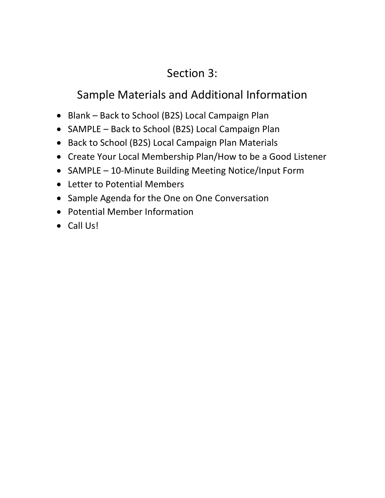## Section 3:

## Sample Materials and Additional Information

- Blank Back to School (B2S) Local Campaign Plan
- SAMPLE Back to School (B2S) Local Campaign Plan
- Back to School (B2S) Local Campaign Plan Materials
- Create Your Local Membership Plan/How to be a Good Listener
- SAMPLE 10-Minute Building Meeting Notice/Input Form
- Letter to Potential Members
- Sample Agenda for the One on One Conversation
- Potential Member Information
- Call Us!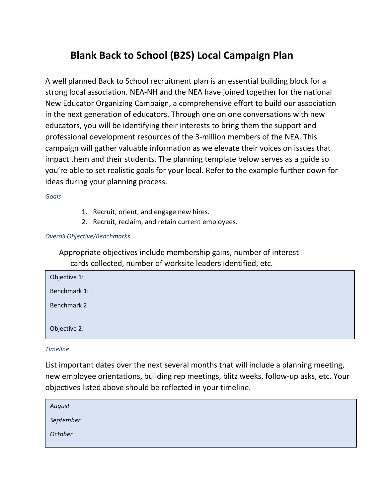### **Blank Back to School (B2S) Local Campaign Plan**

A well planned Back to School recruitment plan is an essential building block for a strong local association. NEA-NH and the NEA have joined together for the national New Educator Organizing Campaign, a comprehensive effort to build our association in the next generation of educators. Through one on one conversations with new educators, you will be identifying their interests to bring them the support and professional development resources of the 3-million members of the NEA. This campaign will gather valuable information as we elevate their voices on issues that impact them and their students. The planning template below serves as a guide so you're able to set realistic goals for your local. Refer to the example further down for ideas during your planning process.

*Goals*

- 1. Recruit, orient, and engage new hires.
- 2. Recruit, reclaim, and retain current employees.

#### *Overall Objective/Benchmarks*

Appropriate objectives include membership gains, number of interest cards collected, number of worksite leaders identified, etc.

| Objective 1: |  |
|--------------|--|
| Benchmark 1: |  |
| Benchmark 2  |  |
| Objective 2: |  |

*Timeline*

List important dates over the next several months that will include a planning meeting, new employee orientations, building rep meetings, blitz weeks, follow-up asks, etc. Your objectives listed above should be reflected in your timeline.

| August    |  |  |
|-----------|--|--|
| September |  |  |
| October   |  |  |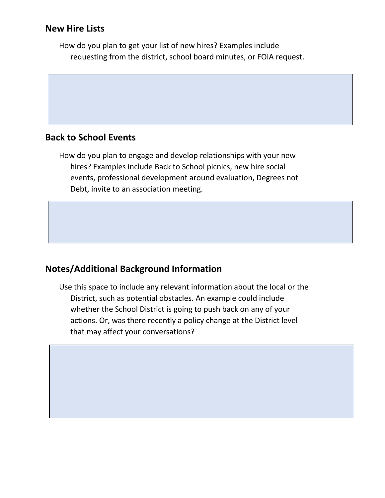#### **New Hire Lists**

How do you plan to get your list of new hires? Examples include requesting from the district, school board minutes, or FOIA request.

#### **Back to School Events**

How do you plan to engage and develop relationships with your new hires? Examples include Back to School picnics, new hire social events, professional development around evaluation, Degrees not Debt, invite to an association meeting.

### **Notes/Additional Background Information**

Use this space to include any relevant information about the local or the District, such as potential obstacles. An example could include whether the School District is going to push back on any of your actions. Or, was there recently a policy change at the District level that may affect your conversations?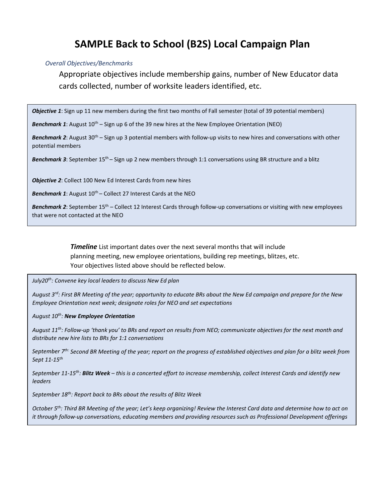### **SAMPLE Back to School (B2S) Local Campaign Plan**

#### *Overall Objectives/Benchmarks*

Appropriate objectives include membership gains, number of New Educator data cards collected, number of worksite leaders identified, etc.

*Objective 1*: Sign up 11 new members during the first two months of Fall semester (total of 39 potential members)

**Benchmark 1**: August 10<sup>th</sup> – Sign up 6 of the 39 new hires at the New Employee Orientation (NEO)

*Benchmark 2*: August 30th – Sign up 3 potential members with follow-up visits to new hires and conversations with other potential members

*Benchmark 3*: September 15<sup>th</sup> – Sign up 2 new members through 1:1 conversations using BR structure and a blitz

*Objective 2*: Collect 100 New Ed Interest Cards from new hires

Benchmark 1: August 10<sup>th</sup> – Collect 27 Interest Cards at the NEO

*Benchmark 2*: September 15th – Collect 12 Interest Cards through follow-up conversations or visiting with new employees that were not contacted at the NEO

> *Timeline* List important dates over the next several months that will include planning meeting, new employee orientations, building rep meetings, blitzes, etc. Your objectives listed above should be reflected below.

*July20th: Convene key local leaders to discuss New Ed plan*

*August 3rd: First BR Meeting of the year; opportunity to educate BRs about the New Ed campaign and prepare for the New Employee Orientation next week; designate roles for NEO and set expectations*

*August 10th: New Employee Orientation*

*August 11th: Follow-up 'thank you' to BRs and report on results from NEO; communicate objectives for the next month and distribute new hire lists to BRs for 1:1 conversations*

*September 7th: Second BR Meeting of the year; report on the progress of established objectives and plan for a blitz week from Sept 11-15th*

*September 11-15th: Blitz Week – this is a concerted effort to increase membership, collect Interest Cards and identify new leaders*

*September 18th: Report back to BRs about the results of Blitz Week*

*October 5th: Third BR Meeting of the year; Let's keep organizing! Review the Interest Card data and determine how to act on it through follow-up conversations, educating members and providing resources such as Professional Development offerings*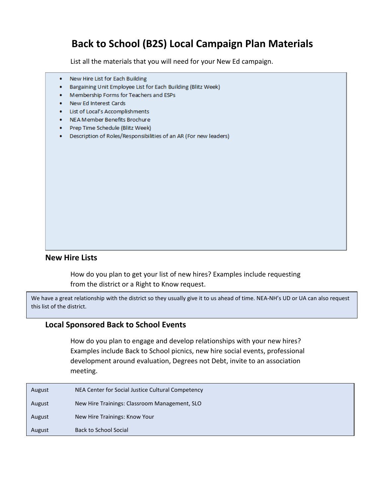### **Back to School (B2S) Local Campaign Plan Materials**

List all the materials that you will need for your New Ed campaign.

- New Hire List for Each Building  $\bullet$
- $\bullet$  . Bargaining Unit Employee List for Each Building (Blitz Week)
- Membership Forms for Teachers and ESPs
- New Ed Interest Cards
- List of Local's Accomplishments
- NEA Member Benefits Brochure
- Prep Time Schedule (Blitz Week)
- Description of Roles/Responsibilities of an AR (For new leaders)

#### **New Hire Lists**

How do you plan to get your list of new hires? Examples include requesting from the district or a Right to Know request.

We have a great relationship with the district so they usually give it to us ahead of time. NEA-NH's UD or UA can also request this list of the district.

#### **Local Sponsored Back to School Events**

How do you plan to engage and develop relationships with your new hires? Examples include Back to School picnics, new hire social events, professional development around evaluation, Degrees not Debt, invite to an association meeting.

| August | NEA Center for Social Justice Cultural Competency |
|--------|---------------------------------------------------|
| August | New Hire Trainings: Classroom Management, SLO     |
| August | New Hire Trainings: Know Your                     |
| August | <b>Back to School Social</b>                      |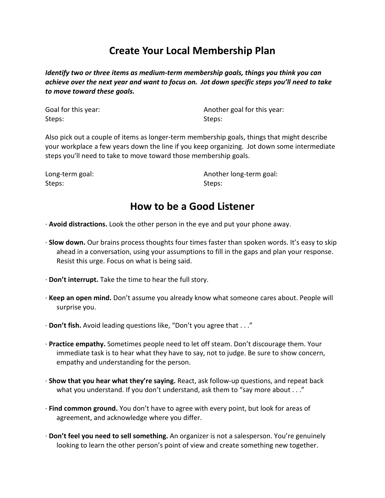### **Create Your Local Membership Plan**

*Identify two or three items as medium-term membership goals, things you think you can achieve over the next year and want to focus on. Jot down specific steps you'll need to take to move toward these goals.*

| Goal for this year: | Anoth  |
|---------------------|--------|
| Steps:              | Steps: |

Another goal for this year:

Also pick out a couple of items as longer-term membership goals, things that might describe your workplace a few years down the line if you keep organizing. Jot down some intermediate steps you'll need to take to move toward those membership goals.

| Long-term goal: | Another long-term goal: |
|-----------------|-------------------------|
| Steps:          | Steps:                  |

### **How to be a Good Listener**

· **Avoid distractions.** Look the other person in the eye and put your phone away.

- · **Slow down.** Our brains process thoughts four times faster than spoken words. It's easy to skip ahead in a conversation, using your assumptions to fill in the gaps and plan your response. Resist this urge. Focus on what is being said.
- · **Don't interrupt.** Take the time to hear the full story.
- · **Keep an open mind.** Don't assume you already know what someone cares about. People will surprise you.
- · **Don't fish.** Avoid leading questions like, "Don't you agree that . . ."
- · **Practice empathy.** Sometimes people need to let off steam. Don't discourage them. Your immediate task is to hear what they have to say, not to judge. Be sure to show concern, empathy and understanding for the person.
- · **Show that you hear what they're saying.** React, ask follow-up questions, and repeat back what you understand. If you don't understand, ask them to "say more about . . ."
- · **Find common ground.** You don't have to agree with every point, but look for areas of agreement, and acknowledge where you differ.
- · **Don't feel you need to sell something.** An organizer is not a salesperson. You're genuinely looking to learn the other person's point of view and create something new together.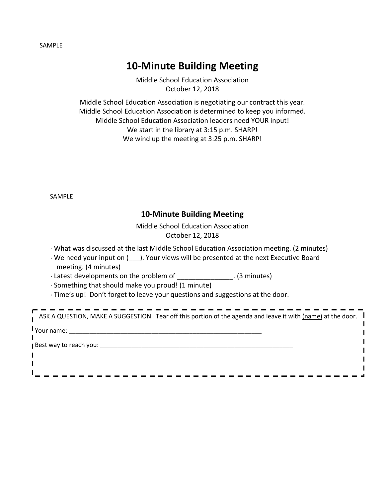SAMPLE

### **10-Minute Building Meeting**

Middle School Education Association October 12, 2018

Middle School Education Association is negotiating our contract this year. Middle School Education Association is determined to keep you informed. Middle School Education Association leaders need YOUR input! We start in the library at 3:15 p.m. SHARP! We wind up the meeting at 3:25 p.m. SHARP!

SAMPLE

#### **10-Minute Building Meeting**

Middle School Education Association October 12, 2018

· What was discussed at the last Middle School Education Association meeting. (2 minutes)

· We need your input on (\_\_\_). Your views will be presented at the next Executive Board meeting. (4 minutes)

· Latest developments on the problem of \_\_\_\_\_\_\_\_\_\_\_\_\_\_\_. (3 minutes)

· Something that should make you proud! (1 minute)

· Time's up! Don't forget to leave your questions and suggestions at the door.

| ASK A QUESTION, MAKE A SUGGESTION. Tear off this portion of the agenda and leave it with (name) at the door. $\blacksquare$ |
|-----------------------------------------------------------------------------------------------------------------------------|
| Your name:                                                                                                                  |
| Best way to reach you:                                                                                                      |
|                                                                                                                             |
|                                                                                                                             |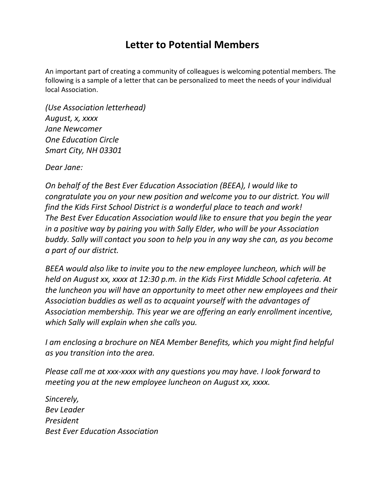### **Letter to Potential Members**

An important part of creating a community of colleagues is welcoming potential members. The following is a sample of a letter that can be personalized to meet the needs of your individual local Association.

*(Use Association letterhead) August, x, xxxx Jane Newcomer One Education Circle Smart City, NH 03301* 

*Dear Jane:* 

*On behalf of the Best Ever Education Association (BEEA), I would like to congratulate you on your new position and welcome you to our district. You will find the Kids First School District is a wonderful place to teach and work! The Best Ever Education Association would like to ensure that you begin the year in a positive way by pairing you with Sally Elder, who will be your Association buddy. Sally will contact you soon to help you in any way she can, as you become a part of our district.* 

*BEEA would also like to invite you to the new employee luncheon, which will be held on August xx, xxxx at 12:30 p.m. in the Kids First Middle School cafeteria. At the luncheon you will have an opportunity to meet other new employees and their Association buddies as well as to acquaint yourself with the advantages of Association membership. This year we are offering an early enrollment incentive, which Sally will explain when she calls you.* 

*I am enclosing a brochure on NEA Member Benefits, which you might find helpful as you transition into the area.* 

*Please call me at xxx-xxxx with any questions you may have. I look forward to meeting you at the new employee luncheon on August xx, xxxx.* 

*Sincerely, Bev Leader President Best Ever Education Association*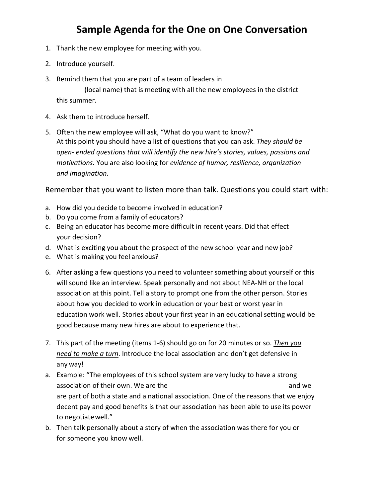### **Sample Agenda for the One on One Conversation**

- 1. Thank the new employee for meeting with you.
- 2. Introduce yourself.
- 3. Remind them that you are part of a team of leaders in (local name) that is meeting with all the new employees in the district this summer.
- 4. Ask them to introduce herself.
- 5. Often the new employee will ask, "What do you want to know?" At this point you should have a list of questions that you can ask. *They should be open- ended questions that will identify the new hire's stories, values, passions and motivations.* You are also looking for *evidence of humor, resilience, organization and imagination.*

Remember that you want to listen more than talk. Questions you could start with:

- a. How did you decide to become involved in education?
- b. Do you come from a family of educators?
- c. Being an educator has become more difficult in recent years. Did that effect your decision?
- d. What is exciting you about the prospect of the new school year and new job?
- e. What is making you feel anxious?
- 6. After asking a few questions you need to volunteer something about yourself or this will sound like an interview. Speak personally and not about NEA-NH or the local association at this point. Tell a story to prompt one from the other person. Stories about how you decided to work in education or your best or worst year in education work well. Stories about your first year in an educational setting would be good because many new hires are about to experience that.
- 7. This part of the meeting (items 1-6) should go on for 20 minutes or so. *Then you need to make a turn*. Introduce the local association and don't get defensive in any way!
- a. Example: "The employees of this school system are very lucky to have a strong association of their own. We are the and we and we and we and we and we and we and we are part of both a state and a national association. One of the reasons that we enjoy decent pay and good benefits is that our association has been able to use its power to negotiatewell."
- b. Then talk personally about a story of when the association was there for you or for someone you know well.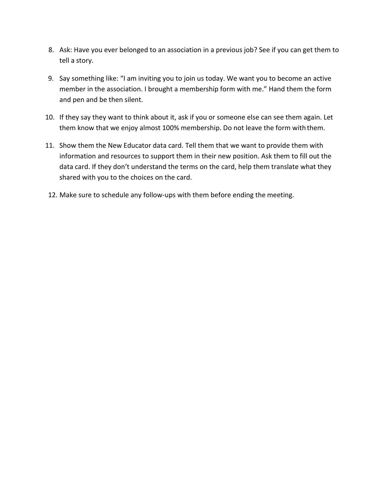- 8. Ask: Have you ever belonged to an association in a previous job? See if you can get them to tell a story.
- 9. Say something like: "I am inviting you to join us today. We want you to become an active member in the association. I brought a membership form with me." Hand them the form and pen and be then silent.
- 10. If they say they want to think about it, ask if you or someone else can see them again. Let them know that we enjoy almost 100% membership. Do not leave the form with them.
- 11. Show them the New Educator data card. Tell them that we want to provide them with information and resources to support them in their new position. Ask them to fill out the data card. If they don't understand the terms on the card, help them translate what they shared with you to the choices on the card.
- 12. Make sure to schedule any follow-ups with them before ending the meeting.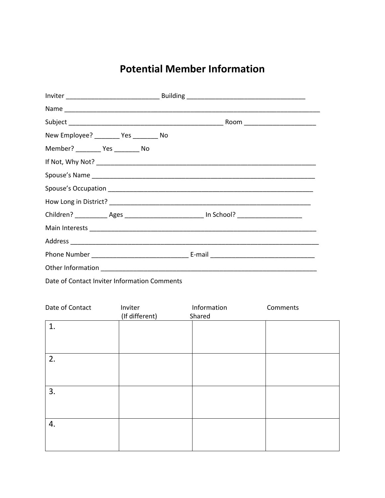### **Potential Member Information**

| New Employee? ________ Yes ________ No |  |                                                                                                     |
|----------------------------------------|--|-----------------------------------------------------------------------------------------------------|
| Member? ___________ Yes __________ No  |  |                                                                                                     |
|                                        |  |                                                                                                     |
|                                        |  |                                                                                                     |
|                                        |  |                                                                                                     |
|                                        |  |                                                                                                     |
|                                        |  | Children? _____________Ages _______________________________ In School? ____________________________ |
|                                        |  |                                                                                                     |
|                                        |  |                                                                                                     |
|                                        |  |                                                                                                     |
|                                        |  |                                                                                                     |
|                                        |  |                                                                                                     |

Date of Contact Inviter Information Comments

| Date of Contact | Inviter<br>(If different) | Information<br>Shared | Comments |
|-----------------|---------------------------|-----------------------|----------|
| 1.              |                           |                       |          |
| 2.              |                           |                       |          |
| 3.              |                           |                       |          |
| 4.              |                           |                       |          |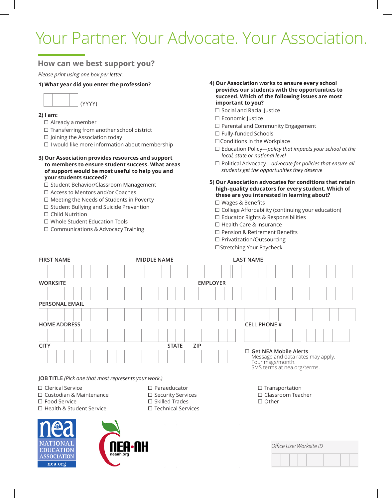# Your Partner. Your Advocate. Your Association.

#### **How can we best support you?**

*Please print using one box per letter.*

#### **1) What year did you enter the profession?**



#### **2) I am:**

- $\Box$  Already a member
- $\Box$  Transferring from another school district
- $\Box$  Joining the Association today
- $\Box$  I would like more information about membership
- **3) Our Association provides resources and support to members to ensure student success. What areas of support would be most useful to help you and your students succeed?**
	- □ Student Behavior/Classroom Management
	- □ Access to Mentors and/or Coaches
	- Meeting the Needs of Students in Poverty
	- $\square$  Student Bullying and Suicide Prevention
	- □ Child Nutrition
	- Whole Student Education Tools
	- □ Communications & Advocacy Training
- **4) Our Association works to ensure every school provides our students with the opportunities to succeed. Which of the following issues are most important to you?**
	- $\Box$  Social and Racial Justice
	- □ Economic Justice
	- $\Box$  Parental and Community Engagement
	- □ Fully-funded Schools
	- $\Box$  Conditions in the Workplace
	- Education Policy*—policy that impacts your school at the local, state or national level*
	- Political Advocacy*—advocate for policies that ensure all students get the opportunities they deserve*
- **5) Our Association advocates for conditions that retain high-quality educators for every student. Which of these are you interested in learning about?**
	- □ Wages & Benefits
	- $\square$  College Affordability (continuing your education)
	- $\square$  Educator Rights & Responsibilities
	- □ Health Care & Insurance
	- □ Pension & Retirement Benefits
	- □ Privatization/Outsourcing
	- □ Stretching Your Paycheck

| <b>FIRST NAME</b>                                                                | <b>MIDDLE NAME</b>                                                             | <b>LAST NAME</b>                                                                                                     |
|----------------------------------------------------------------------------------|--------------------------------------------------------------------------------|----------------------------------------------------------------------------------------------------------------------|
|                                                                                  |                                                                                |                                                                                                                      |
| <b>WORKSITE</b>                                                                  | <b>EMPLOYER</b>                                                                |                                                                                                                      |
|                                                                                  |                                                                                |                                                                                                                      |
| <b>PERSONAL EMAIL</b>                                                            |                                                                                |                                                                                                                      |
|                                                                                  |                                                                                |                                                                                                                      |
| <b>HOME ADDRESS</b>                                                              |                                                                                | <b>CELL PHONE #</b>                                                                                                  |
|                                                                                  |                                                                                |                                                                                                                      |
| <b>CITY</b>                                                                      | <b>ZIP</b><br><b>STATE</b>                                                     |                                                                                                                      |
|                                                                                  |                                                                                | $\Box$ Get NEA Mobile Alerts<br>Message and data rates may apply.<br>Four msgs/month.<br>SMS terms at nea.org/terms. |
| JOB TITLE (Pick one that most represents your work.)                             |                                                                                |                                                                                                                      |
| $\Box$ Clerical Service<br>$\Box$ Custodian & Maintenance<br>$\Box$ Food Service | $\Box$ Paraeducator<br>$\square$ Security Services<br>$\square$ Skilled Trades | $\Box$ Transportation<br>$\Box$ Classroom Teacher<br>$\Box$ Other                                                    |

- □ Health & Student Service
- 





Skilled Trades □ Technical Services

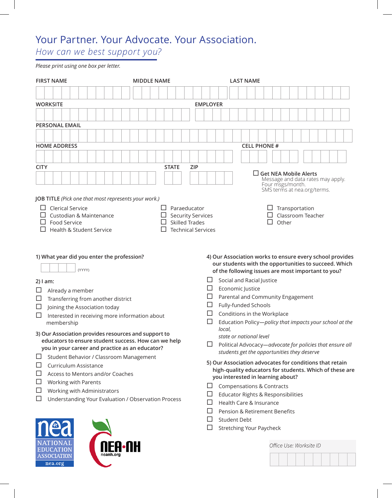## Your Partner. Your Advocate. Your Association.

*How can we best support you?* 

*Please print using one box per letter.*

| <b>FIRST NAME</b>                                                                                                                                                                                                                                                                                                                                                                                                          | <b>MIDDLE NAME</b>                                                                             | <b>LAST NAME</b>                                                                                                                                                                                                                                                                                                                                                                                                                                       |
|----------------------------------------------------------------------------------------------------------------------------------------------------------------------------------------------------------------------------------------------------------------------------------------------------------------------------------------------------------------------------------------------------------------------------|------------------------------------------------------------------------------------------------|--------------------------------------------------------------------------------------------------------------------------------------------------------------------------------------------------------------------------------------------------------------------------------------------------------------------------------------------------------------------------------------------------------------------------------------------------------|
|                                                                                                                                                                                                                                                                                                                                                                                                                            |                                                                                                |                                                                                                                                                                                                                                                                                                                                                                                                                                                        |
| <b>WORKSITE</b>                                                                                                                                                                                                                                                                                                                                                                                                            |                                                                                                | <b>EMPLOYER</b>                                                                                                                                                                                                                                                                                                                                                                                                                                        |
|                                                                                                                                                                                                                                                                                                                                                                                                                            |                                                                                                |                                                                                                                                                                                                                                                                                                                                                                                                                                                        |
| <b>PERSONAL EMAIL</b>                                                                                                                                                                                                                                                                                                                                                                                                      |                                                                                                |                                                                                                                                                                                                                                                                                                                                                                                                                                                        |
|                                                                                                                                                                                                                                                                                                                                                                                                                            |                                                                                                |                                                                                                                                                                                                                                                                                                                                                                                                                                                        |
| <b>HOME ADDRESS</b>                                                                                                                                                                                                                                                                                                                                                                                                        |                                                                                                | <b>CELL PHONE #</b>                                                                                                                                                                                                                                                                                                                                                                                                                                    |
|                                                                                                                                                                                                                                                                                                                                                                                                                            |                                                                                                |                                                                                                                                                                                                                                                                                                                                                                                                                                                        |
| <b>CITY</b>                                                                                                                                                                                                                                                                                                                                                                                                                | <b>STATE</b><br><b>ZIP</b>                                                                     |                                                                                                                                                                                                                                                                                                                                                                                                                                                        |
| JOB TITLE (Pick one that most represents your work.)                                                                                                                                                                                                                                                                                                                                                                       |                                                                                                | <b>Get NEA Mobile Alerts</b><br>Message and data rates may apply.<br>Four msgs/month.<br>SMS terms at nea.org/terms.                                                                                                                                                                                                                                                                                                                                   |
| <b>Clerical Service</b><br>Custodian & Maintenance<br>Food Service<br><b>Health &amp; Student Service</b>                                                                                                                                                                                                                                                                                                                  | Paraeducator<br><b>Security Services</b><br><b>Skilled Trades</b><br><b>Technical Services</b> | Transportation<br>Classroom Teacher<br>□<br>Other                                                                                                                                                                                                                                                                                                                                                                                                      |
| 1) What year did you enter the profession?<br>(YYYY)<br>$2)$ l am:<br>Already a member<br>ப<br>Transferring from another district<br>ப<br>$\Box$<br>Joining the Association today<br>Interested in receiving more information about<br>⊔<br>membership                                                                                                                                                                     |                                                                                                | 4) Our Association works to ensure every school provides<br>our students with the opportunities to succeed. Which<br>of the following issues are most important to you?<br>Social and Racial Justice<br>ப<br>Economic Justice<br>ப<br>Parental and Community Engagement<br>ப<br>Fully-funded Schools<br>⊔<br>Conditions in the Workplace<br>$\Box$<br>Education Policy-policy that impacts your school at the<br>local,                                |
| 3) Our Association provides resources and support to<br>educators to ensure student success. How can we help<br>you in your career and practice as an educator?<br>Student Behavior / Classroom Management<br>$\sqcup$<br>Curriculum Assistance<br>ப<br>Access to Mentors and/or Coaches<br>ப<br>Working with Parents<br>ப<br>Working with Administrators<br>ப<br>Understanding Your Evaluation / Observation Process<br>ப |                                                                                                | state or national level<br>Political Advocacy-advocate for policies that ensure all<br>ப<br>students get the opportunities they deserve<br>5) Our Association advocates for conditions that retain<br>high-quality educators for students. Which of these are<br>you interested in learning about?<br>ப<br><b>Compensations &amp; Contracts</b><br>Educator Rights & Responsibilities<br>Health Care & Insurance<br>Pension & Retirement Benefits<br>ப |
| nea                                                                                                                                                                                                                                                                                                                                                                                                                        |                                                                                                | ப<br><b>Student Debt</b><br>$\Box$<br><b>Stretching Your Paycheck</b>                                                                                                                                                                                                                                                                                                                                                                                  |

Office Use: Worksite ID



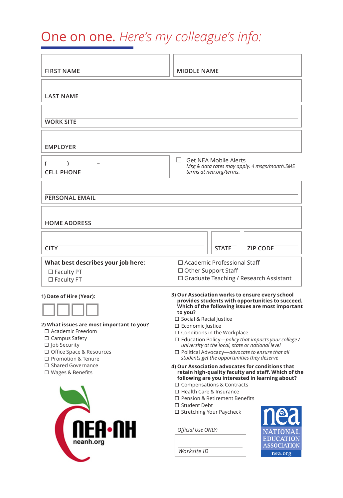## One on one. *Here's my colleague's info:*

| <b>FIRST NAME</b>                                                                                                                                                                               | <b>MIDDLE NAME</b>                                                                                                                                                                                                                                                                                                                                                                                                                                                                    |              |                                                                                                                                                                                                          |
|-------------------------------------------------------------------------------------------------------------------------------------------------------------------------------------------------|---------------------------------------------------------------------------------------------------------------------------------------------------------------------------------------------------------------------------------------------------------------------------------------------------------------------------------------------------------------------------------------------------------------------------------------------------------------------------------------|--------------|----------------------------------------------------------------------------------------------------------------------------------------------------------------------------------------------------------|
| <b>LAST NAME</b>                                                                                                                                                                                |                                                                                                                                                                                                                                                                                                                                                                                                                                                                                       |              |                                                                                                                                                                                                          |
| <b>WORK SITE</b>                                                                                                                                                                                |                                                                                                                                                                                                                                                                                                                                                                                                                                                                                       |              |                                                                                                                                                                                                          |
| <b>EMPLOYER</b>                                                                                                                                                                                 |                                                                                                                                                                                                                                                                                                                                                                                                                                                                                       |              |                                                                                                                                                                                                          |
| $\mathcal{E}$<br>(<br><b>CELL PHONE</b>                                                                                                                                                         | <b>Get NEA Mobile Alerts</b><br>$\mathcal{L}$<br>Msg & data rates may apply. 4 msgs/month.SMS<br>terms at nea.org/terms.                                                                                                                                                                                                                                                                                                                                                              |              |                                                                                                                                                                                                          |
| <b>PERSONAL EMAIL</b>                                                                                                                                                                           |                                                                                                                                                                                                                                                                                                                                                                                                                                                                                       |              |                                                                                                                                                                                                          |
| <b>HOME ADDRESS</b>                                                                                                                                                                             |                                                                                                                                                                                                                                                                                                                                                                                                                                                                                       |              |                                                                                                                                                                                                          |
| <b>CITY</b>                                                                                                                                                                                     |                                                                                                                                                                                                                                                                                                                                                                                                                                                                                       | <b>STATE</b> | <b>ZIP CODE</b>                                                                                                                                                                                          |
| What best describes your job here:<br>□ Faculty PT<br>$\square$ Faculty FT                                                                                                                      | $\Box$ Academic Professional Staff<br>$\Box$ Other Support Staff<br>$\Box$ Graduate Teaching / Research Assistant                                                                                                                                                                                                                                                                                                                                                                     |              |                                                                                                                                                                                                          |
| 1) Date of Hire (Year):<br>2) What issues are most important to you?<br>□ Academic Freedom<br>$\Box$ Campus Safety<br>□ Job Security<br>□ Office Space & Resources<br>$\Box$ Promotion & Tenure | 3) Our Association works to ensure every school<br>provides students with opportunities to succeed.<br>Which of the following issues are most important<br>to you?<br>□ Social & Racial Justice<br>□ Economic Justice<br>$\Box$ Conditions in the Workplace<br>$\Box$ Education Policy-policy that impacts your college /<br>university at the local, state or national level<br>$\Box$ Political Advocacy-advocate to ensure that all<br>students get the opportunities they deserve |              |                                                                                                                                                                                                          |
| □ Shared Governance<br>$\Box$ Wages & Benefits<br><b>NEA•NH</b><br>neanh.org                                                                                                                    | $\Box$ Compensations & Contracts<br>□ Health Care & Insurance<br>□ Pension & Retirement Benefits<br>□ Student Debt<br>□ Stretching Your Paycheck<br>Official Use ONLY:<br>Worksite ID                                                                                                                                                                                                                                                                                                 |              | 4) Our Association advocates for conditions that<br>retain high-quality faculty and staff. Which of the<br>following are you interested in learning about?<br>EDUCATION<br><b>ASSOCIATION</b><br>nea.org |